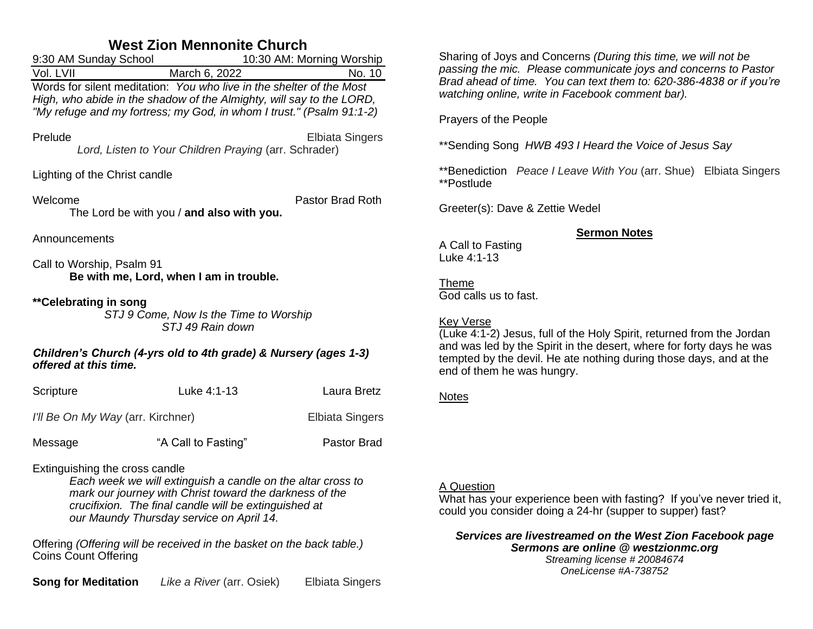# **West Zion Mennonite Church**

| 9:30 AM Sunday School                                                                                                                                                                                                | 10:30 AM: Morning Worship |        |
|----------------------------------------------------------------------------------------------------------------------------------------------------------------------------------------------------------------------|---------------------------|--------|
| Vol. LVII                                                                                                                                                                                                            | March 6, 2022             | No. 10 |
| Words for silent meditation: You who live in the shelter of the Most<br>High, who abide in the shadow of the Almighty, will say to the LORD,<br>"My refuge and my fortress; my God, in whom I trust." (Psalm 91:1-2) |                           |        |

PreludeElbiata Singers *Lord, Listen to Your Children Praying* (arr. Schrader)

Lighting of the Christ candle

Welcome **Pastor Brad Roth** The Lord be with you / **and also with you.**

Announcements

Call to Worship, Psalm 91 **Be with me, Lord, when I am in trouble.**

### **\*\*Celebrating in song**

*STJ 9 Come, Now Is the Time to Worship STJ 49 Rain down*

### *Children's Church (4-yrs old to 4th grade) & Nursery (ages 1-3) offered at this time.*

| Scripture                         | Luke 4:1-13         | Laura Bretz            |
|-----------------------------------|---------------------|------------------------|
| I'll Be On My Way (arr. Kirchner) |                     | <b>Elbiata Singers</b> |
| Message                           | "A Call to Fasting" | Pastor Brad            |

Extinguishing the cross candle

*Each week we will extinguish a candle on the altar cross to mark our journey with Christ toward the darkness of the crucifixion. The final candle will be extinguished at our Maundy Thursday service on April 14.*

Offering *(Offering will be received in the basket on the back table.)* Coins Count Offering

**Song for Meditation** *Like a River* (arr. Osiek) Elbiata Singers

Sharing of Joys and Concerns *(During this time, we will not be passing the mic. Please communicate joys and concerns to Pastor Brad ahead of time. You can text them to: 620-386-4838 or if you're watching online, write in Facebook comment bar).*

Prayers of the People

\*\*Sending Song *HWB 493 I Heard the Voice of Jesus Say*

\*\*Benediction *Peace I Leave With You* (arr. Shue) Elbiata Singers \*\*Postlude

Greeter(s): Dave & Zettie Wedel

### **Sermon Notes**

A Call to Fasting Luke 4:1-13

Theme God calls us to fast.

### Key Verse

(Luke 4:1-2) Jesus, full of the Holy Spirit, returned from the Jordan and was led by the Spirit in the desert, where for forty days he was tempted by the devil. He ate nothing during those days, and at the end of them he was hungry.

## **Notes**

### A Question

What has your experience been with fasting? If you've never tried it, could you consider doing a 24-hr (supper to supper) fast?

*Services are livestreamed on the West Zion Facebook page Sermons are online @ westzionmc.org Streaming license # 20084674 OneLicense #A-738752*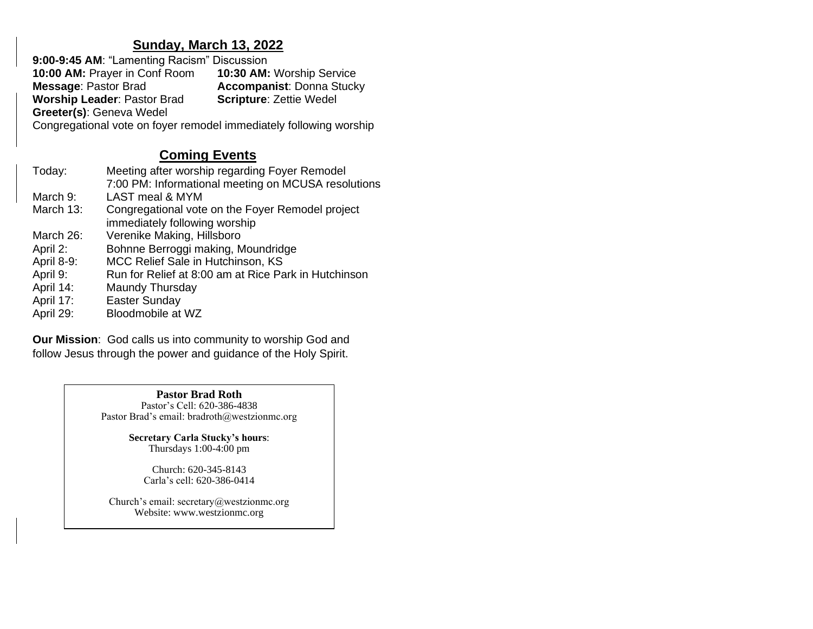## **Sunday, March 13, 2022**

**9:00-9:45 AM**: "Lamenting Racism" Discussion **10:00 AM:** Prayer in Conf Room **10:30 AM:** Worship Service **Accompanist: Donna Stucky<br><b>Scripture:** Zettie Wedel **Worship Leader: Pastor Brad Greeter(s)**: Geneva Wedel Congregational vote on foyer remodel immediately following worship

# **Coming Events**

| Meeting after worship regarding Foyer Remodel<br>7:00 PM: Informational meeting on MCUSA resolutions |
|------------------------------------------------------------------------------------------------------|
|                                                                                                      |
| Congregational vote on the Foyer Remodel project                                                     |
|                                                                                                      |
|                                                                                                      |
|                                                                                                      |
|                                                                                                      |
| Run for Relief at 8:00 am at Rice Park in Hutchinson                                                 |
|                                                                                                      |
|                                                                                                      |
|                                                                                                      |
|                                                                                                      |

**Our Mission**: God calls us into community to worship God and follow Jesus through the power and guidance of the Holy Spirit.

> **Pastor Brad Roth** Pastor's Cell: 620-386-4838 Pastor Brad's email: bradroth@westzionmc.org

> > **Secretary Carla Stucky's hours**: Thursdays 1:00-4:00 pm

> > > Church: 620-345-8143 Carla's cell: 620-386-0414

Church's email: secretary@westzionmc.org Website: www.westzionmc.org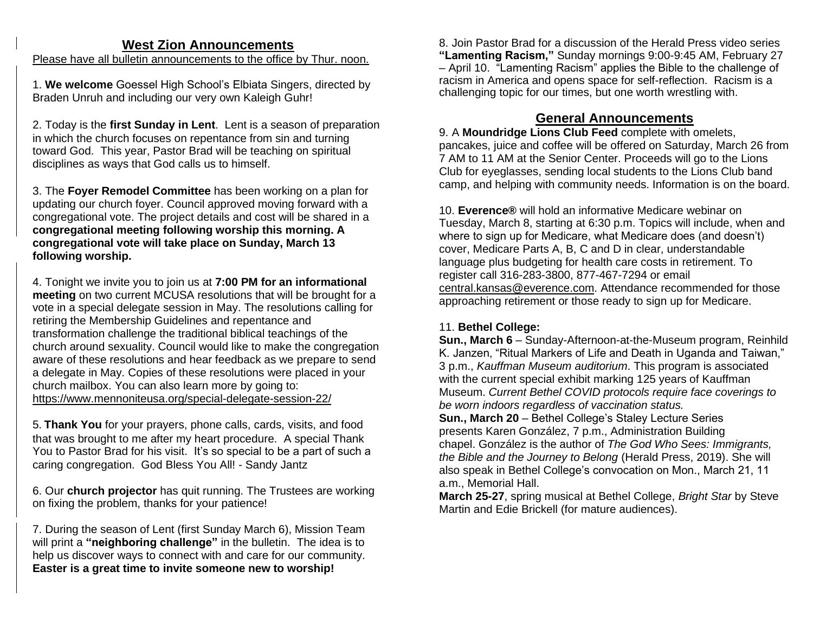## **West Zion Announcements**

Please have all bulletin announcements to the office by Thur. noon.

1. **We welcome** Goessel High School's Elbiata Singers, directed by Braden Unruh and including our very own Kaleigh Guhr!

2. Today is the **first Sunday in Lent**. Lent is a season of preparation in which the church focuses on repentance from sin and turning toward God. This year, Pastor Brad will be teaching on spiritual disciplines as ways that God calls us to himself.

3. The **Foyer Remodel Committee** has been working on a plan for updating our church foyer. Council approved moving forward with a congregational vote. The project details and cost will be shared in a **congregational meeting following worship this morning. A congregational vote will take place on Sunday, March 13 following worship.**

4. Tonight we invite you to join us at **7:00 PM for an informational meeting** on two current MCUSA resolutions that will be brought for a vote in a special delegate session in May. The resolutions calling for retiring the Membership Guidelines and repentance and transformation challenge the traditional biblical teachings of the church around sexuality. Council would like to make the congregation aware of these resolutions and hear feedback as we prepare to send a delegate in May. Copies of these resolutions were placed in your church mailbox. You can also learn more by going to: <https://www.mennoniteusa.org/special-delegate-session-22/>

5. **Thank You** for your prayers, phone calls, cards, visits, and food that was brought to me after my heart procedure. A special Thank You to Pastor Brad for his visit. It's so special to be a part of such a caring congregation. God Bless You All! - Sandy Jantz

6. Our **church projector** has quit running. The Trustees are working on fixing the problem, thanks for your patience!

7. During the season of Lent (first Sunday March 6), Mission Team will print a **"neighboring challenge"** in the bulletin. The idea is to help us discover ways to connect with and care for our community. **Easter is a great time to invite someone new to worship!**

8. Join Pastor Brad for a discussion of the Herald Press video series **"Lamenting Racism,"** Sunday mornings 9:00-9:45 AM, February 27 – April 10. "Lamenting Racism" applies the Bible to the challenge of racism in America and opens space for self-reflection. Racism is a challenging topic for our times, but one worth wrestling with.

# **General Announcements**

9. A **Moundridge Lions Club Feed** complete with omelets, pancakes, juice and coffee will be offered on Saturday, March 26 from 7 AM to 11 AM at the Senior Center. Proceeds will go to the Lions Club for eyeglasses, sending local students to the Lions Club band camp, and helping with community needs. Information is on the board.

10. **Everence®** will hold an informative Medicare webinar on Tuesday, March 8, starting at 6:30 p.m. Topics will include, when and where to sign up for Medicare, what Medicare does (and doesn't) cover, Medicare Parts A, B, C and D in clear, understandable language plus budgeting for health care costs in retirement. To register call 316-283-3800, 877-467-7294 or email [central.kansas@everence.com.](mailto:central.kansas@everence.com) Attendance recommended for those approaching retirement or those ready to sign up for Medicare.

### 11. **Bethel College:**

**Sun., March 6** – Sunday-Afternoon-at-the-Museum program, Reinhild K. Janzen, "Ritual Markers of Life and Death in Uganda and Taiwan," 3 p.m., *Kauffman Museum auditorium*. This program is associated with the current special exhibit marking 125 years of Kauffman Museum. *Current Bethel COVID protocols require face coverings to be worn indoors regardless of vaccination status.*

**Sun., March 20** – Bethel College's Staley Lecture Series presents Karen González, 7 p.m., Administration Building chapel. González is the author of *The God Who Sees: Immigrants, the Bible and the Journey to Belong* (Herald Press, 2019). She will also speak in Bethel College's convocation on Mon., March 21, 11 a.m., Memorial Hall.

**March 25-27**, spring musical at Bethel College, *Bright Star* by Steve Martin and Edie Brickell (for mature audiences).